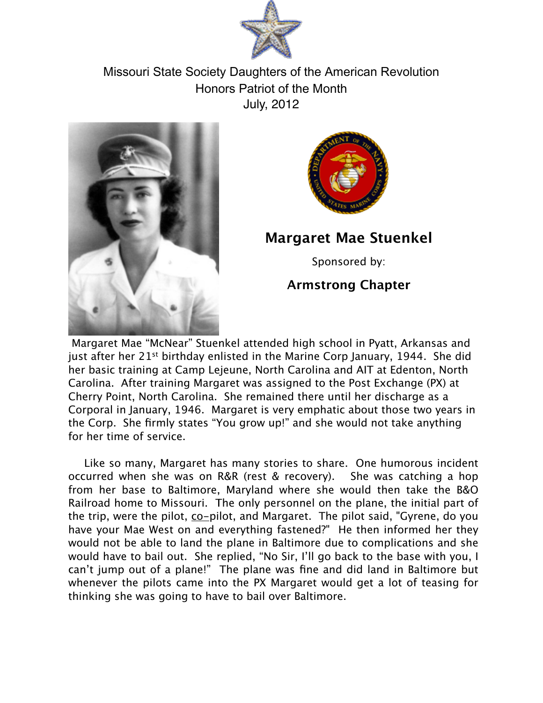

Missouri State Society Daughters of the American Revolution Honors Patriot of the Month July, 2012





## **Margaret Mae Stuenkel**

Sponsored by:

## **Armstrong Chapter**

 Margaret Mae "McNear" Stuenkel attended high school in Pyatt, Arkansas and just after her 21<sup>st</sup> birthday enlisted in the Marine Corp January, 1944. She did her basic training at Camp Lejeune, North Carolina and AIT at Edenton, North Carolina. After training Margaret was assigned to the Post Exchange (PX) at Cherry Point, North Carolina. She remained there until her discharge as a Corporal in January, 1946. Margaret is very emphatic about those two years in the Corp. She firmly states "You grow up!" and she would not take anything for her time of service.

Like so many, Margaret has many stories to share. One humorous incident occurred when she was on R&R (rest & recovery). She was catching a hop from her base to Baltimore, Maryland where she would then take the B&O Railroad home to Missouri. The only personnel on the plane, the initial part of the trip, were the pilot, co-pilot, and Margaret. The pilot said, "Gyrene, do you have your Mae West on and everything fastened?" He then informed her they would not be able to land the plane in Baltimore due to complications and she would have to bail out. She replied, "No Sir, I'll go back to the base with you, I can't jump out of a plane!" The plane was fine and did land in Baltimore but whenever the pilots came into the PX Margaret would get a lot of teasing for thinking she was going to have to bail over Baltimore.